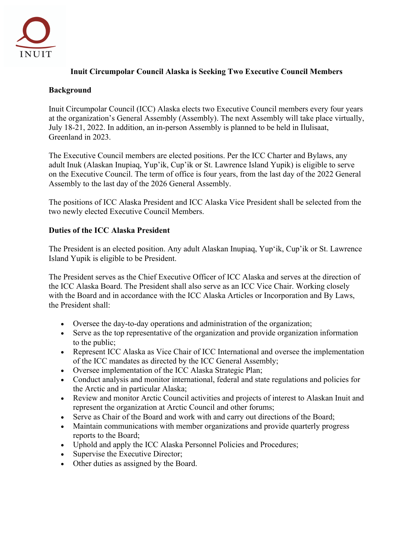

## **Inuit Circumpolar Council Alaska is Seeking Two Executive Council Members**

## **Background**

Inuit Circumpolar Council (ICC) Alaska elects two Executive Council members every four years at the organization's General Assembly (Assembly). The next Assembly will take place virtually, July 18-21, 2022. In addition, an in-person Assembly is planned to be held in Ilulisaat, Greenland in 2023.

The Executive Council members are elected positions. Per the ICC Charter and Bylaws, any adult Inuk (Alaskan Inupiaq, Yup'ik, Cup'ik or St. Lawrence Island Yupik) is eligible to serve on the Executive Council. The term of office is four years, from the last day of the 2022 General Assembly to the last day of the 2026 General Assembly.

The positions of ICC Alaska President and ICC Alaska Vice President shall be selected from the two newly elected Executive Council Members.

## **Duties of the ICC Alaska President**

The President is an elected position. Any adult Alaskan Inupiaq, Yup'ik, Cup'ik or St. Lawrence Island Yupik is eligible to be President.

The President serves as the Chief Executive Officer of ICC Alaska and serves at the direction of the ICC Alaska Board. The President shall also serve as an ICC Vice Chair. Working closely with the Board and in accordance with the ICC Alaska Articles or Incorporation and By Laws, the President shall:

- Oversee the day-to-day operations and administration of the organization;
- Serve as the top representative of the organization and provide organization information to the public;
- Represent ICC Alaska as Vice Chair of ICC International and oversee the implementation of the ICC mandates as directed by the ICC General Assembly;
- Oversee implementation of the ICC Alaska Strategic Plan;
- Conduct analysis and monitor international, federal and state regulations and policies for the Arctic and in particular Alaska;
- Review and monitor Arctic Council activities and projects of interest to Alaskan Inuit and represent the organization at Arctic Council and other forums;
- Serve as Chair of the Board and work with and carry out directions of the Board;
- Maintain communications with member organizations and provide quarterly progress reports to the Board;
- Uphold and apply the ICC Alaska Personnel Policies and Procedures;
- Supervise the Executive Director;
- Other duties as assigned by the Board.